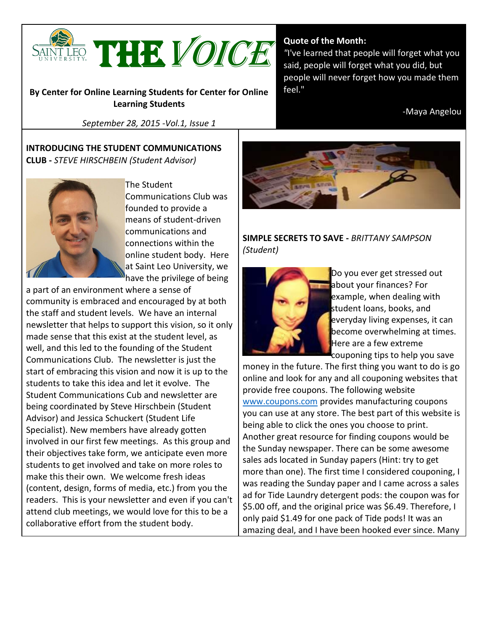

**By Center for Online Learning Students for Center for Online Learning Students**

*September 28, 2015 -Vol.1, Issue 1*

**INTRODUCING THE STUDENT COMMUNICATIONS CLUB -** *STEVE HIRSCHBEIN (Student Advisor)*



The Student Communications Club was founded to provide a means of student-driven communications and connections within the online student body. Here at Saint Leo University, we have the privilege of being

a part of an environment where a sense of community is embraced and encouraged by at both the staff and student levels. We have an internal newsletter that helps to support this vision, so it only made sense that this exist at the student level, as well, and this led to the founding of the Student Communications Club. The newsletter is just the start of embracing this vision and now it is up to the students to take this idea and let it evolve. The Student Communications Cub and newsletter are being coordinated by Steve Hirschbein (Student Advisor) and Jessica Schuckert (Student Life Specialist). New members have already gotten involved in our first few meetings. As this group and their objectives take form, we anticipate even more students to get involved and take on more roles to make this their own. We welcome fresh ideas (content, design, forms of media, etc.) from you the readers. This is your newsletter and even if you can't attend club meetings, we would love for this to be a collaborative effort from the student body.

#### **Quote of the Month:**

*"*I've learned that people will forget what you said, people will forget what you did, but people will never forget how you made them feel."

-Maya Angelou



### **SIMPLE SECRETS TO SAVE -** *BRITTANY SAMPSON (Student)*



Do you ever get stressed out about your finances? For example, when dealing with student loans, books, and everyday living expenses, it can become overwhelming at times. Here are a few extreme couponing tips to help you save

money in the future. The first thing you want to do is go online and look for any and all couponing websites that provide free coupons. The following website [www.coupons.com](https://suite.targetx.com/suite4sf/email/bin/redir.php?id=0002275981-003G0000025W8VoIAK) provides manufacturing coupons you can use at any store. The best part of this website is being able to click the ones you choose to print. Another great resource for finding coupons would be the Sunday newspaper. There can be some awesome sales ads located in Sunday papers (Hint: try to get more than one). The first time I considered couponing, I was reading the Sunday paper and I came across a sales ad for Tide Laundry detergent pods: the coupon was for \$5.00 off, and the original price was \$6.49. Therefore, I only paid \$1.49 for one pack of Tide pods! It was an amazing deal, and I have been hooked ever since. Many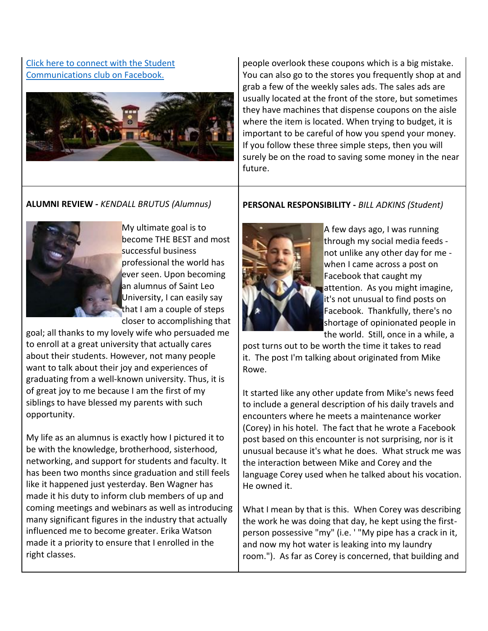## [Click here to connect with the Student](https://suite.targetx.com/suite4sf/email/bin/redir.php?id=0002275983-003G0000025W8VoIAK)  [Communications club on Facebook.](https://suite.targetx.com/suite4sf/email/bin/redir.php?id=0002275983-003G0000025W8VoIAK)



people overlook these coupons which is a big mistake. You can also go to the stores you frequently shop at and grab a few of the weekly sales ads. The sales ads are usually located at the front of the store, but sometimes they have machines that dispense coupons on the aisle where the item is located. When trying to budget, it is important to be careful of how you spend your money. If you follow these three simple steps, then you will surely be on the road to saving some money in the near future.

## **ALUMNI REVIEW -** *KENDALL BRUTUS (Alumnus)*



My ultimate goal is to become THE BEST and most successful business professional the world has ever seen. Upon becoming an alumnus of Saint Leo University, I can easily say that I am a couple of steps closer to accomplishing that

goal; all thanks to my lovely wife who persuaded me to enroll at a great university that actually cares about their students. However, not many people want to talk about their joy and experiences of graduating from a well-known university. Thus, it is of great joy to me because I am the first of my siblings to have blessed my parents with such opportunity.

My life as an alumnus is exactly how I pictured it to be with the knowledge, brotherhood, sisterhood, networking, and support for students and faculty. It has been two months since graduation and still feels like it happened just yesterday. Ben Wagner has made it his duty to inform club members of up and coming meetings and webinars as well as introducing many significant figures in the industry that actually influenced me to become greater. Erika Watson made it a priority to ensure that I enrolled in the right classes.

### **PERSONAL RESPONSIBILITY -** *BILL ADKINS (Student)*



A few days ago, I was running through my social media feeds not unlike any other day for me when I came across a post on Facebook that caught my attention. As you might imagine, it's not unusual to find posts on Facebook. Thankfully, there's no shortage of opinionated people in the world. Still, once in a while, a

post turns out to be worth the time it takes to read it. The post I'm talking about originated from Mike Rowe.

It started like any other update from Mike's news feed to include a general description of his daily travels and encounters where he meets a maintenance worker (Corey) in his hotel. The fact that he wrote a Facebook post based on this encounter is not surprising, nor is it unusual because it's what he does. What struck me was the interaction between Mike and Corey and the language Corey used when he talked about his vocation. He owned it.

What I mean by that is this. When Corey was describing the work he was doing that day, he kept using the firstperson possessive "my" (i.e. ' "My pipe has a crack in it, and now my hot water is leaking into my laundry room."). As far as Corey is concerned, that building and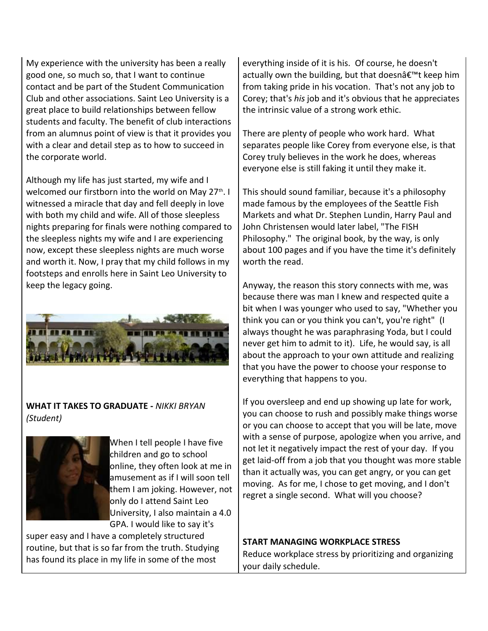My experience with the university has been a really good one, so much so, that I want to continue contact and be part of the Student Communication Club and other associations. Saint Leo University is a great place to build relationships between fellow students and faculty. The benefit of club interactions from an alumnus point of view is that it provides you with a clear and detail step as to how to succeed in the corporate world.

Although my life has just started, my wife and I welcomed our firstborn into the world on May 27<sup>th</sup>. I witnessed a miracle that day and fell deeply in love with both my child and wife. All of those sleepless nights preparing for finals were nothing compared to the sleepless nights my wife and I are experiencing now, except these sleepless nights are much worse and worth it. Now, I pray that my child follows in my footsteps and enrolls here in Saint Leo University to keep the legacy going.



# **WHAT IT TAKES TO GRADUATE -** *NIKKI BRYAN (Student)*



When I tell people I have five children and go to school online, they often look at me in amusement as if I will soon tell them I am joking. However, not only do I attend Saint Leo University, I also maintain a 4.0 GPA. I would like to say it's

super easy and I have a completely structured routine, but that is so far from the truth. Studying has found its place in my life in some of the most

everything inside of it is his. Of course, he doesn't actually own the building, but that doesn $\hat{\alpha} \in \mathbb{R}^m$  keep him from taking pride in his vocation. That's not any job to Corey; that's *his* job and it's obvious that he appreciates the intrinsic value of a strong work ethic.

There are plenty of people who work hard. What separates people like Corey from everyone else, is that Corey truly believes in the work he does, whereas everyone else is still faking it until they make it.

This should sound familiar, because it's a philosophy made famous by the employees of the Seattle Fish Markets and what Dr. Stephen Lundin, Harry Paul and John Christensen would later label, "The FISH Philosophy." The original book, by the way, is only about 100 pages and if you have the time it's definitely worth the read.

Anyway, the reason this story connects with me, was because there was man I knew and respected quite a bit when I was younger who used to say, "Whether you think you can or you think you can't, you're right" (I always thought he was paraphrasing Yoda, but I could never get him to admit to it). Life, he would say, is all about the approach to your own attitude and realizing that you have the power to choose your response to everything that happens to you.

If you oversleep and end up showing up late for work, you can choose to rush and possibly make things worse or you can choose to accept that you will be late, move with a sense of purpose, apologize when you arrive, and not let it negatively impact the rest of your day. If you get laid-off from a job that you thought was more stable than it actually was, you can get angry, or you can get moving. As for me, I chose to get moving, and I don't regret a single second. What will you choose?

**START MANAGING WORKPLACE STRESS**

Reduce workplace stress by prioritizing and organizing your daily schedule.